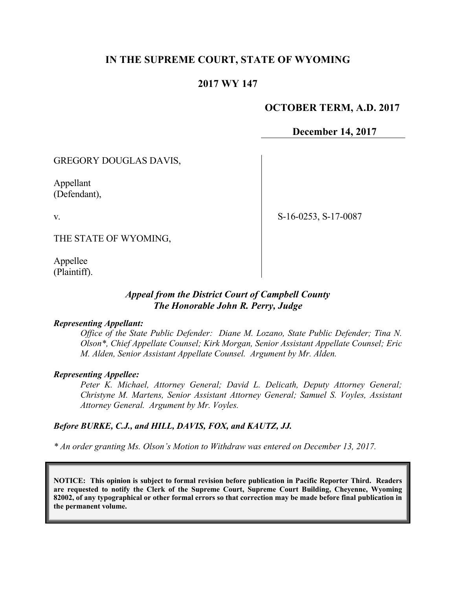## **IN THE SUPREME COURT, STATE OF WYOMING**

### **2017 WY 147**

### **OCTOBER TERM, A.D. 2017**

**December 14, 2017**

GREGORY DOUGLAS DAVIS,

Appellant (Defendant),

v.

S-16-0253, S-17-0087

THE STATE OF WYOMING,

Appellee (Plaintiff).

### *Appeal from the District Court of Campbell County The Honorable John R. Perry, Judge*

#### *Representing Appellant:*

*Office of the State Public Defender: Diane M. Lozano, State Public Defender; Tina N. Olson\*, Chief Appellate Counsel; Kirk Morgan, Senior Assistant Appellate Counsel; Eric M. Alden, Senior Assistant Appellate Counsel. Argument by Mr. Alden.*

#### *Representing Appellee:*

*Peter K. Michael, Attorney General; David L. Delicath, Deputy Attorney General; Christyne M. Martens, Senior Assistant Attorney General; Samuel S. Voyles, Assistant Attorney General. Argument by Mr. Voyles.*

#### *Before BURKE, C.J., and HILL, DAVIS, FOX, and KAUTZ, JJ.*

*\* An order granting Ms. Olson's Motion to Withdraw was entered on December 13, 2017.*

**NOTICE: This opinion is subject to formal revision before publication in Pacific Reporter Third. Readers are requested to notify the Clerk of the Supreme Court, Supreme Court Building, Cheyenne, Wyoming 82002, of any typographical or other formal errors so that correction may be made before final publication in the permanent volume.**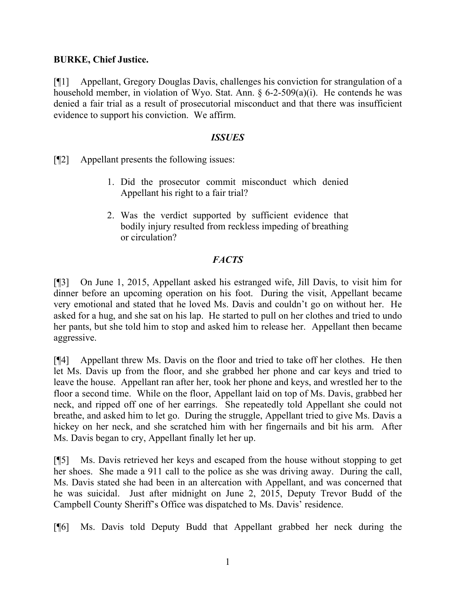### **BURKE, Chief Justice.**

[¶1] Appellant, Gregory Douglas Davis, challenges his conviction for strangulation of a household member, in violation of Wyo. Stat. Ann. § 6-2-509(a)(i). He contends he was denied a fair trial as a result of prosecutorial misconduct and that there was insufficient evidence to support his conviction. We affirm.

### *ISSUES*

[¶2] Appellant presents the following issues:

- 1. Did the prosecutor commit misconduct which denied Appellant his right to a fair trial?
- 2. Was the verdict supported by sufficient evidence that bodily injury resulted from reckless impeding of breathing or circulation?

## *FACTS*

[¶3] On June 1, 2015, Appellant asked his estranged wife, Jill Davis, to visit him for dinner before an upcoming operation on his foot. During the visit, Appellant became very emotional and stated that he loved Ms. Davis and couldn't go on without her. He asked for a hug, and she sat on his lap. He started to pull on her clothes and tried to undo her pants, but she told him to stop and asked him to release her. Appellant then became aggressive.

[¶4] Appellant threw Ms. Davis on the floor and tried to take off her clothes. He then let Ms. Davis up from the floor, and she grabbed her phone and car keys and tried to leave the house. Appellant ran after her, took her phone and keys, and wrestled her to the floor a second time. While on the floor, Appellant laid on top of Ms. Davis, grabbed her neck, and ripped off one of her earrings. She repeatedly told Appellant she could not breathe, and asked him to let go. During the struggle, Appellant tried to give Ms. Davis a hickey on her neck, and she scratched him with her fingernails and bit his arm. After Ms. Davis began to cry, Appellant finally let her up.

[¶5] Ms. Davis retrieved her keys and escaped from the house without stopping to get her shoes. She made a 911 call to the police as she was driving away. During the call, Ms. Davis stated she had been in an altercation with Appellant, and was concerned that he was suicidal. Just after midnight on June 2, 2015, Deputy Trevor Budd of the Campbell County Sheriff's Office was dispatched to Ms. Davis' residence.

[¶6] Ms. Davis told Deputy Budd that Appellant grabbed her neck during the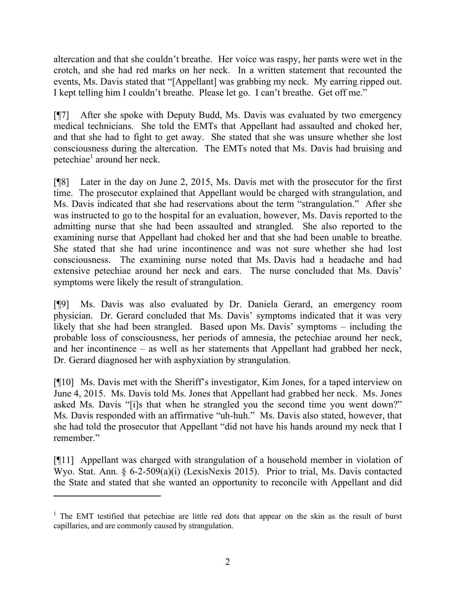altercation and that she couldn't breathe. Her voice was raspy, her pants were wet in the crotch, and she had red marks on her neck. In a written statement that recounted the events, Ms. Davis stated that "[Appellant] was grabbing my neck. My earring ripped out. I kept telling him I couldn't breathe. Please let go. I can't breathe. Get off me."

[¶7] After she spoke with Deputy Budd, Ms. Davis was evaluated by two emergency medical technicians. She told the EMTs that Appellant had assaulted and choked her, and that she had to fight to get away. She stated that she was unsure whether she lost consciousness during the altercation. The EMTs noted that Ms. Davis had bruising and petechiae<sup>1</sup> around her neck.

[¶8] Later in the day on June 2, 2015, Ms. Davis met with the prosecutor for the first time. The prosecutor explained that Appellant would be charged with strangulation, and Ms. Davis indicated that she had reservations about the term "strangulation." After she was instructed to go to the hospital for an evaluation, however, Ms. Davis reported to the admitting nurse that she had been assaulted and strangled. She also reported to the examining nurse that Appellant had choked her and that she had been unable to breathe. She stated that she had urine incontinence and was not sure whether she had lost consciousness. The examining nurse noted that Ms. Davis had a headache and had extensive petechiae around her neck and ears. The nurse concluded that Ms. Davis' symptoms were likely the result of strangulation.

[¶9] Ms. Davis was also evaluated by Dr. Daniela Gerard, an emergency room physician. Dr. Gerard concluded that Ms. Davis' symptoms indicated that it was very likely that she had been strangled. Based upon Ms. Davis' symptoms – including the probable loss of consciousness, her periods of amnesia, the petechiae around her neck, and her incontinence – as well as her statements that Appellant had grabbed her neck, Dr. Gerard diagnosed her with asphyxiation by strangulation.

[¶10] Ms. Davis met with the Sheriff's investigator, Kim Jones, for a taped interview on June 4, 2015. Ms. Davis told Ms. Jones that Appellant had grabbed her neck. Ms. Jones asked Ms. Davis "[i]s that when he strangled you the second time you went down?" Ms. Davis responded with an affirmative "uh-huh." Ms. Davis also stated, however, that she had told the prosecutor that Appellant "did not have his hands around my neck that I remember."

[¶11] Appellant was charged with strangulation of a household member in violation of Wyo. Stat. Ann. § 6-2-509(a)(i) (LexisNexis 2015). Prior to trial, Ms. Davis contacted the State and stated that she wanted an opportunity to reconcile with Appellant and did

 $\overline{a}$ 

 $1$  The EMT testified that petechiae are little red dots that appear on the skin as the result of burst capillaries, and are commonly caused by strangulation.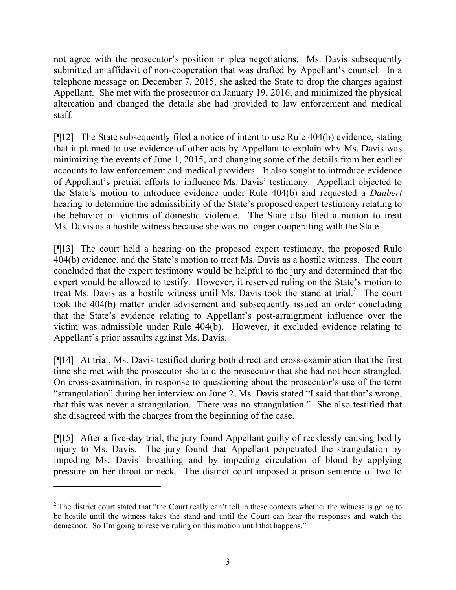not agree with the prosecutor's position in plea negotiations. Ms. Davis subsequently submitted an affidavit of non-cooperation that was drafted by Appellant's counsel. In a telephone message on December 7, 2015, she asked the State to drop the charges against Appellant. She met with the prosecutor on January 19, 2016, and minimized the physical altercation and changed the details she had provided to law enforcement and medical staff.

[¶12] The State subsequently filed a notice of intent to use Rule 404(b) evidence, stating that it planned to use evidence of other acts by Appellant to explain why Ms. Davis was minimizing the events of June 1, 2015, and changing some of the details from her earlier accounts to law enforcement and medical providers. It also sought to introduce evidence of Appellant's pretrial efforts to influence Ms. Davis' testimony. Appellant objected to the State's motion to introduce evidence under Rule 404(b) and requested a *Daubert*  hearing to determine the admissibility of the State's proposed expert testimony relating to the behavior of victims of domestic violence. The State also filed a motion to treat Ms. Davis as a hostile witness because she was no longer cooperating with the State.

[¶13] The court held a hearing on the proposed expert testimony, the proposed Rule 404(b) evidence, and the State's motion to treat Ms. Davis as a hostile witness. The court concluded that the expert testimony would be helpful to the jury and determined that the expert would be allowed to testify. However, it reserved ruling on the State's motion to treat Ms. Davis as a hostile witness until Ms. Davis took the stand at trial. 2 The court took the 404(b) matter under advisement and subsequently issued an order concluding that the State's evidence relating to Appellant's post-arraignment influence over the victim was admissible under Rule 404(b). However, it excluded evidence relating to Appellant's prior assaults against Ms. Davis.

[¶14] At trial, Ms. Davis testified during both direct and cross-examination that the first time she met with the prosecutor she told the prosecutor that she had not been strangled. On cross-examination, in response to questioning about the prosecutor's use of the term "strangulation" during her interview on June 2, Ms. Davis stated "I said that that's wrong, that this was never a strangulation. There was no strangulation." She also testified that she disagreed with the charges from the beginning of the case.

[¶15] After a five-day trial, the jury found Appellant guilty of recklessly causing bodily injury to Ms. Davis. The jury found that Appellant perpetrated the strangulation by impeding Ms. Davis' breathing and by impeding circulation of blood by applying pressure on her throat or neck. The district court imposed a prison sentence of two to

 $\overline{a}$ 

 $2$  The district court stated that "the Court really can't tell in these contexts whether the witness is going to be hostile until the witness takes the stand and until the Court can hear the responses and watch the demeanor. So I'm going to reserve ruling on this motion until that happens."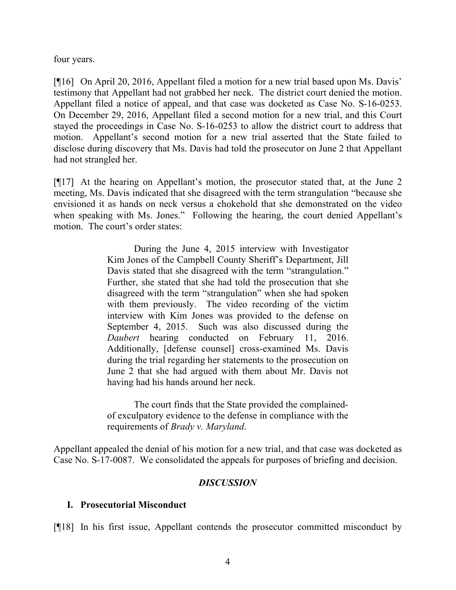four years.

[¶16] On April 20, 2016, Appellant filed a motion for a new trial based upon Ms. Davis' testimony that Appellant had not grabbed her neck. The district court denied the motion. Appellant filed a notice of appeal, and that case was docketed as Case No. S-16-0253. On December 29, 2016, Appellant filed a second motion for a new trial, and this Court stayed the proceedings in Case No. S-16-0253 to allow the district court to address that motion. Appellant's second motion for a new trial asserted that the State failed to disclose during discovery that Ms. Davis had told the prosecutor on June 2 that Appellant had not strangled her.

[¶17] At the hearing on Appellant's motion, the prosecutor stated that, at the June 2 meeting, Ms. Davis indicated that she disagreed with the term strangulation "because she envisioned it as hands on neck versus a chokehold that she demonstrated on the video when speaking with Ms. Jones." Following the hearing, the court denied Appellant's motion. The court's order states:

> During the June 4, 2015 interview with Investigator Kim Jones of the Campbell County Sheriff's Department, Jill Davis stated that she disagreed with the term "strangulation." Further, she stated that she had told the prosecution that she disagreed with the term "strangulation" when she had spoken with them previously. The video recording of the victim interview with Kim Jones was provided to the defense on September 4, 2015. Such was also discussed during the *Daubert* hearing conducted on February 11, 2016. Additionally, [defense counsel] cross-examined Ms. Davis during the trial regarding her statements to the prosecution on June 2 that she had argued with them about Mr. Davis not having had his hands around her neck.

> The court finds that the State provided the complainedof exculpatory evidence to the defense in compliance with the requirements of *Brady v. Maryland*.

Appellant appealed the denial of his motion for a new trial, and that case was docketed as Case No. S-17-0087. We consolidated the appeals for purposes of briefing and decision.

## *DISCUSSION*

## **I. Prosecutorial Misconduct**

[¶18] In his first issue, Appellant contends the prosecutor committed misconduct by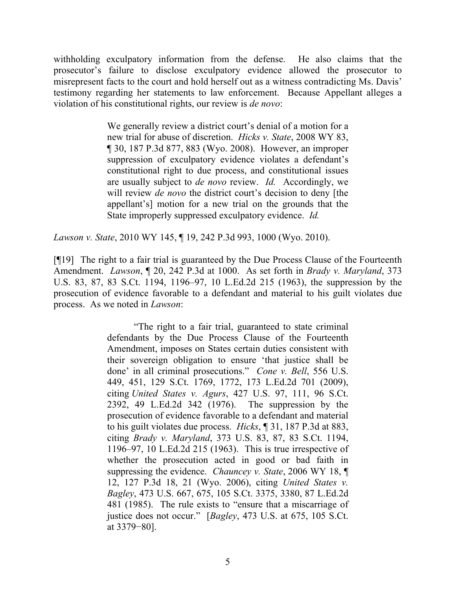withholding exculpatory information from the defense. He also claims that the prosecutor's failure to disclose exculpatory evidence allowed the prosecutor to misrepresent facts to the court and hold herself out as a witness contradicting Ms. Davis' testimony regarding her statements to law enforcement. Because Appellant alleges a violation of his constitutional rights, our review is *de novo*:

> We generally review a district court's denial of a motion for a new trial for abuse of discretion. *Hicks v. State*, 2008 WY 83, ¶ 30, 187 P.3d 877, 883 (Wyo. 2008). However, an improper suppression of exculpatory evidence violates a defendant's constitutional right to due process, and constitutional issues are usually subject to *de novo* review. *Id.* Accordingly, we will review *de novo* the district court's decision to deny [the appellant's] motion for a new trial on the grounds that the State improperly suppressed exculpatory evidence. *Id.*

*Lawson v. State*, 2010 WY 145, ¶ 19, 242 P.3d 993, 1000 (Wyo. 2010).

[¶19] The right to a fair trial is guaranteed by the Due Process Clause of the Fourteenth Amendment. *Lawson*, ¶ 20, 242 P.3d at 1000. As set forth in *Brady v. Maryland*, 373 U.S. 83, 87, 83 S.Ct. 1194, 1196–97, 10 L.Ed.2d 215 (1963), the suppression by the prosecution of evidence favorable to a defendant and material to his guilt violates due process. As we noted in *Lawson*:

> "The right to a fair trial, guaranteed to state criminal defendants by the Due Process Clause of the Fourteenth Amendment, imposes on States certain duties consistent with their sovereign obligation to ensure 'that justice shall be done' in all criminal prosecutions." *Cone v. Bell*, 556 U.S. 449, 451, 129 S.Ct. 1769, 1772, 173 L.Ed.2d 701 (2009), citing *United States v. Agurs*, 427 U.S. 97, 111, 96 S.Ct. 2392, 49 L.Ed.2d 342 (1976). The suppression by the prosecution of evidence favorable to a defendant and material to his guilt violates due process. *Hicks*, ¶ 31, 187 P.3d at 883, citing *Brady v. Maryland*, 373 U.S. 83, 87, 83 S.Ct. 1194, 1196–97, 10 L.Ed.2d 215 (1963). This is true irrespective of whether the prosecution acted in good or bad faith in suppressing the evidence. *Chauncey v. State*, 2006 WY 18, ¶ 12, 127 P.3d 18, 21 (Wyo. 2006), citing *United States v. Bagley*, 473 U.S. 667, 675, 105 S.Ct. 3375, 3380, 87 L.Ed.2d 481 (1985). The rule exists to "ensure that a miscarriage of justice does not occur." [*Bagley*, 473 U.S. at 675, 105 S.Ct. at 3379−80].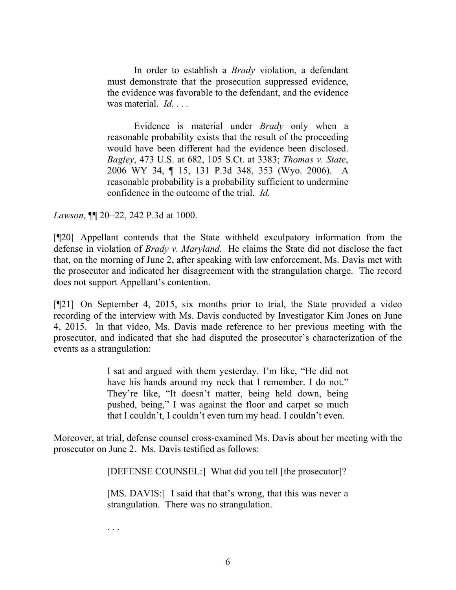In order to establish a *Brady* violation, a defendant must demonstrate that the prosecution suppressed evidence, the evidence was favorable to the defendant, and the evidence was material. *Id. . . .* 

Evidence is material under *Brady* only when a reasonable probability exists that the result of the proceeding would have been different had the evidence been disclosed. *Bagley*, 473 U.S. at 682, 105 S.Ct. at 3383; *Thomas v. State*, 2006 WY 34, ¶ 15, 131 P.3d 348, 353 (Wyo. 2006). A reasonable probability is a probability sufficient to undermine confidence in the outcome of the trial. *Id.*

*Lawson*, ¶¶ 20–22, 242 P.3d at 1000.

[¶20] Appellant contends that the State withheld exculpatory information from the defense in violation of *Brady v. Maryland.* He claims the State did not disclose the fact that, on the morning of June 2, after speaking with law enforcement, Ms. Davis met with the prosecutor and indicated her disagreement with the strangulation charge. The record does not support Appellant's contention.

[¶21] On September 4, 2015, six months prior to trial, the State provided a video recording of the interview with Ms. Davis conducted by Investigator Kim Jones on June 4, 2015. In that video, Ms. Davis made reference to her previous meeting with the prosecutor, and indicated that she had disputed the prosecutor's characterization of the events as a strangulation:

> I sat and argued with them yesterday. I'm like, "He did not have his hands around my neck that I remember. I do not." They're like, "It doesn't matter, being held down, being pushed, being," I was against the floor and carpet so much that I couldn't, I couldn't even turn my head. I couldn't even.

Moreover, at trial, defense counsel cross-examined Ms. Davis about her meeting with the prosecutor on June 2. Ms. Davis testified as follows:

[DEFENSE COUNSEL:] What did you tell [the prosecutor]?

[MS. DAVIS:] I said that that's wrong, that this was never a strangulation. There was no strangulation.

. . .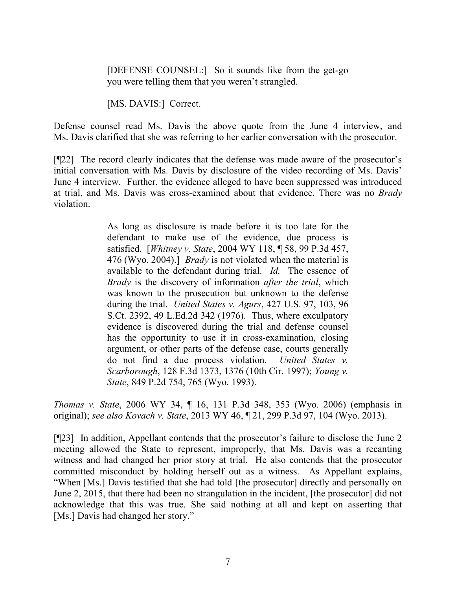[DEFENSE COUNSEL:] So it sounds like from the get-go you were telling them that you weren't strangled.

[MS. DAVIS:] Correct.

Defense counsel read Ms. Davis the above quote from the June 4 interview, and Ms. Davis clarified that she was referring to her earlier conversation with the prosecutor.

[¶22] The record clearly indicates that the defense was made aware of the prosecutor's initial conversation with Ms. Davis by disclosure of the video recording of Ms. Davis' June 4 interview. Further, the evidence alleged to have been suppressed was introduced at trial, and Ms. Davis was cross-examined about that evidence. There was no *Brady* violation.

> As long as disclosure is made before it is too late for the defendant to make use of the evidence, due process is satisfied. [*Whitney v. State*, 2004 WY 118, ¶ 58, 99 P.3d 457, 476 (Wyo. 2004).] *Brady* is not violated when the material is available to the defendant during trial. *Id.* The essence of *Brady* is the discovery of information *after the trial*, which was known to the prosecution but unknown to the defense during the trial. *United States v. Agurs*, 427 U.S. 97, 103, 96 S.Ct. 2392, 49 L.Ed.2d 342 (1976). Thus, where exculpatory evidence is discovered during the trial and defense counsel has the opportunity to use it in cross-examination, closing argument, or other parts of the defense case, courts generally do not find a due process violation. *United States v. Scarborough*, 128 F.3d 1373, 1376 (10th Cir. 1997); *Young v. State*, 849 P.2d 754, 765 (Wyo. 1993).

*Thomas v. State*, 2006 WY 34, ¶ 16, 131 P.3d 348, 353 (Wyo. 2006) (emphasis in original); *see also Kovach v. State*, 2013 WY 46, ¶ 21, 299 P.3d 97, 104 (Wyo. 2013).

[¶23] In addition, Appellant contends that the prosecutor's failure to disclose the June 2 meeting allowed the State to represent, improperly, that Ms. Davis was a recanting witness and had changed her prior story at trial. He also contends that the prosecutor committed misconduct by holding herself out as a witness. As Appellant explains, "When [Ms.] Davis testified that she had told [the prosecutor] directly and personally on June 2, 2015, that there had been no strangulation in the incident, [the prosecutor] did not acknowledge that this was true. She said nothing at all and kept on asserting that [Ms.] Davis had changed her story."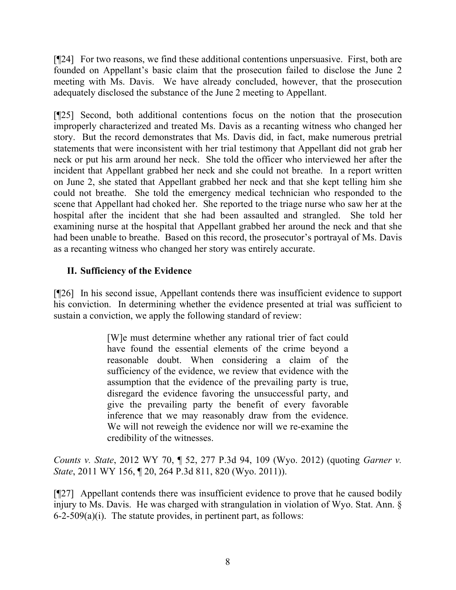[¶24] For two reasons, we find these additional contentions unpersuasive. First, both are founded on Appellant's basic claim that the prosecution failed to disclose the June 2 meeting with Ms. Davis. We have already concluded, however, that the prosecution adequately disclosed the substance of the June 2 meeting to Appellant.

[¶25] Second, both additional contentions focus on the notion that the prosecution improperly characterized and treated Ms. Davis as a recanting witness who changed her story. But the record demonstrates that Ms. Davis did, in fact, make numerous pretrial statements that were inconsistent with her trial testimony that Appellant did not grab her neck or put his arm around her neck. She told the officer who interviewed her after the incident that Appellant grabbed her neck and she could not breathe. In a report written on June 2, she stated that Appellant grabbed her neck and that she kept telling him she could not breathe. She told the emergency medical technician who responded to the scene that Appellant had choked her. She reported to the triage nurse who saw her at the hospital after the incident that she had been assaulted and strangled. She told her examining nurse at the hospital that Appellant grabbed her around the neck and that she had been unable to breathe. Based on this record, the prosecutor's portrayal of Ms. Davis as a recanting witness who changed her story was entirely accurate.

# **II. Sufficiency of the Evidence**

[¶26] In his second issue, Appellant contends there was insufficient evidence to support his conviction. In determining whether the evidence presented at trial was sufficient to sustain a conviction, we apply the following standard of review:

> [W]e must determine whether any rational trier of fact could have found the essential elements of the crime beyond a reasonable doubt. When considering a claim of the sufficiency of the evidence, we review that evidence with the assumption that the evidence of the prevailing party is true, disregard the evidence favoring the unsuccessful party, and give the prevailing party the benefit of every favorable inference that we may reasonably draw from the evidence. We will not reweigh the evidence nor will we re-examine the credibility of the witnesses.

*Counts v. State*, 2012 WY 70, ¶ 52, 277 P.3d 94, 109 (Wyo. 2012) (quoting *Garner v. State*, 2011 WY 156, ¶ 20, 264 P.3d 811, 820 (Wyo. 2011)).

[¶27] Appellant contends there was insufficient evidence to prove that he caused bodily injury to Ms. Davis. He was charged with strangulation in violation of Wyo. Stat. Ann. § 6-2-509(a)(i). The statute provides, in pertinent part, as follows: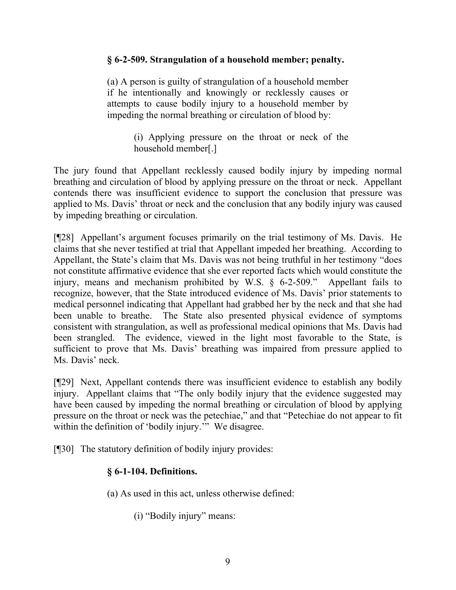## **§ 6-2-509. Strangulation of a household member; penalty.**

(a) A person is guilty of strangulation of a household member if he intentionally and knowingly or recklessly causes or attempts to cause bodily injury to a household member by impeding the normal breathing or circulation of blood by:

> (i) Applying pressure on the throat or neck of the household member[.]

The jury found that Appellant recklessly caused bodily injury by impeding normal breathing and circulation of blood by applying pressure on the throat or neck. Appellant contends there was insufficient evidence to support the conclusion that pressure was applied to Ms. Davis' throat or neck and the conclusion that any bodily injury was caused by impeding breathing or circulation.

[¶28] Appellant's argument focuses primarily on the trial testimony of Ms. Davis. He claims that she never testified at trial that Appellant impeded her breathing. According to Appellant, the State's claim that Ms. Davis was not being truthful in her testimony "does not constitute affirmative evidence that she ever reported facts which would constitute the injury, means and mechanism prohibited by W.S. § 6-2-509." Appellant fails to recognize, however, that the State introduced evidence of Ms. Davis' prior statements to medical personnel indicating that Appellant had grabbed her by the neck and that she had been unable to breathe. The State also presented physical evidence of symptoms consistent with strangulation, as well as professional medical opinions that Ms. Davis had been strangled. The evidence, viewed in the light most favorable to the State, is sufficient to prove that Ms. Davis' breathing was impaired from pressure applied to Ms. Davis' neck.

[¶29] Next, Appellant contends there was insufficient evidence to establish any bodily injury. Appellant claims that "The only bodily injury that the evidence suggested may have been caused by impeding the normal breathing or circulation of blood by applying pressure on the throat or neck was the petechiae," and that "Petechiae do not appear to fit within the definition of 'bodily injury.'" We disagree.

[¶30] The statutory definition of bodily injury provides:

# **§ 6-1-104. Definitions.**

(a) As used in this act, unless otherwise defined:

(i) "Bodily injury" means: